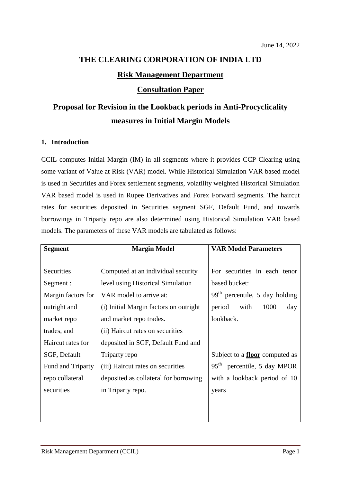# **THE CLEARING CORPORATION OF INDIA LTD Risk Management Department Consultation Paper**

## **Proposal for Revision in the Lookback periods in Anti-Procyclicality measures in Initial Margin Models**

### **1. Introduction**

CCIL computes Initial Margin (IM) in all segments where it provides CCP Clearing using some variant of Value at Risk (VAR) model. While Historical Simulation VAR based model is used in Securities and Forex settlement segments, volatility weighted Historical Simulation VAR based model is used in Rupee Derivatives and Forex Forward segments. The haircut rates for securities deposited in Securities segment SGF, Default Fund, and towards borrowings in Triparty repo are also determined using Historical Simulation VAR based models. The parameters of these VAR models are tabulated as follows:

| <b>Segment</b>     | <b>Margin Model</b>                    | <b>VAR Model Parameters</b>           |
|--------------------|----------------------------------------|---------------------------------------|
|                    |                                        |                                       |
| Securities         | Computed at an individual security     | For securities in each tenor          |
| Segment :          | level using Historical Simulation      | based bucket:                         |
| Margin factors for | VAR model to arrive at:                | $99th$ percentile, 5 day holding      |
| outright and       | (i) Initial Margin factors on outright | 1000<br>period<br>with<br>day         |
| market repo        | and market repo trades.                | lookback.                             |
| trades, and        | (ii) Haircut rates on securities       |                                       |
| Haircut rates for  | deposited in SGF, Default Fund and     |                                       |
| SGF, Default       | Triparty repo                          | Subject to a <b>floor</b> computed as |
| Fund and Triparty  | (iii) Haircut rates on securities      | $95th$ percentile, 5 day MPOR         |
| repo collateral    | deposited as collateral for borrowing  | with a lookback period of 10          |
| securities         | in Triparty repo.                      | years                                 |
|                    |                                        |                                       |
|                    |                                        |                                       |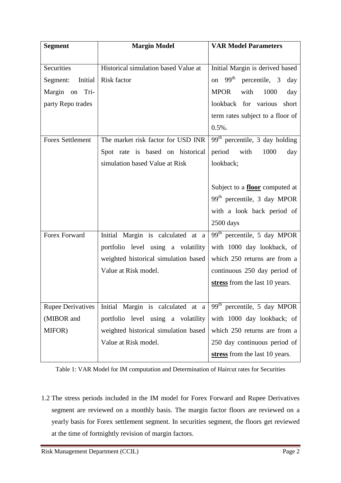| <b>Segment</b>           | <b>Margin Model</b>                  | <b>VAR Model Parameters</b>                 |
|--------------------------|--------------------------------------|---------------------------------------------|
|                          |                                      |                                             |
| Securities               | Historical simulation based Value at | Initial Margin is derived based             |
| Initial<br>Segment:      | Risk factor                          | on $99th$<br>percentile, 3<br>day           |
| Margin on Tri-           |                                      | <b>MPOR</b><br>with<br>1000<br>day          |
| party Repo trades        |                                      | lookback for various<br>short               |
|                          |                                      | term rates subject to a floor of            |
|                          |                                      | $0.5%$ .                                    |
| <b>Forex Settlement</b>  | The market risk factor for USD INR   | $99th$ percentile, 3 day holding            |
|                          | Spot rate is based on historical     | with<br>1000<br>period<br>day               |
|                          | simulation based Value at Risk       | lookback;                                   |
|                          |                                      |                                             |
|                          |                                      | Subject to a <b>floor</b> computed at       |
|                          |                                      | $99th$ percentile, 3 day MPOR               |
|                          |                                      | with a look back period of                  |
|                          |                                      | 2500 days                                   |
| Forex Forward            | Initial Margin is calculated at a    | $\overline{99^{th}}$ percentile, 5 day MPOR |
|                          | portfolio level using a volatility   | with 1000 day lookback, of                  |
|                          | weighted historical simulation based | which 250 returns are from a                |
|                          | Value at Risk model.                 | continuous 250 day period of                |
|                          |                                      | stress from the last 10 years.              |
|                          |                                      |                                             |
| <b>Rupee Derivatives</b> | Initial Margin is calculated at a    | $99th$ percentile, 5 day MPOR               |
| (MIBOR and               | portfolio level using a volatility   | with 1000 day lookback; of                  |
| MIFOR)                   | weighted historical simulation based | which 250 returns are from a                |
|                          | Value at Risk model.                 | 250 day continuous period of                |
|                          |                                      | stress from the last 10 years.              |

Table 1: VAR Model for IM computation and Determination of Haircut rates for Securities

1.2 The stress periods included in the IM model for Forex Forward and Rupee Derivatives segment are reviewed on a monthly basis. The margin factor floors are reviewed on a yearly basis for Forex settlement segment. In securities segment, the floors get reviewed at the time of fortnightly revision of margin factors.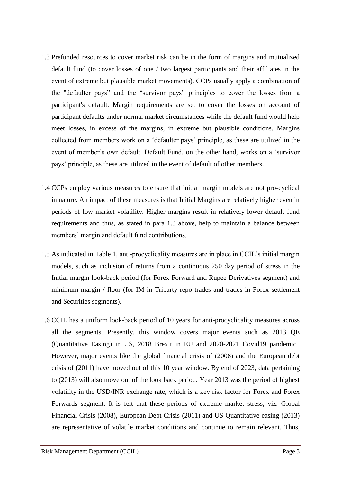- 1.3 Prefunded resources to cover market risk can be in the form of margins and mutualized default fund (to cover losses of one / two largest participants and their affiliates in the event of extreme but plausible market movements). CCPs usually apply a combination of the "defaulter pays" and the "survivor pays" principles to cover the losses from a participant's default. Margin requirements are set to cover the losses on account of participant defaults under normal market circumstances while the default fund would help meet losses, in excess of the margins, in extreme but plausible conditions. Margins collected from members work on a 'defaulter pays' principle, as these are utilized in the event of member's own default. Default Fund, on the other hand, works on a 'survivor pays' principle, as these are utilized in the event of default of other members.
- 1.4 CCPs employ various measures to ensure that initial margin models are not pro-cyclical in nature. An impact of these measures is that Initial Margins are relatively higher even in periods of low market volatility. Higher margins result in relatively lower default fund requirements and thus, as stated in para 1.3 above, help to maintain a balance between members' margin and default fund contributions.
- 1.5 As indicated in Table 1, anti-procyclicality measures are in place in CCIL's initial margin models, such as inclusion of returns from a continuous 250 day period of stress in the Initial margin look-back period (for Forex Forward and Rupee Derivatives segment) and minimum margin / floor (for IM in Triparty repo trades and trades in Forex settlement and Securities segments).
- 1.6 CCIL has a uniform look-back period of 10 years for anti-procyclicality measures across all the segments. Presently, this window covers major events such as 2013 QE (Quantitative Easing) in US, 2018 Brexit in EU and 2020-2021 Covid19 pandemic.. However, major events like the global financial crisis of (2008) and the European debt crisis of (2011) have moved out of this 10 year window. By end of 2023, data pertaining to (2013) will also move out of the look back period. Year 2013 was the period of highest volatility in the USD/INR exchange rate, which is a key risk factor for Forex and Forex Forwards segment. It is felt that these periods of extreme market stress, viz. Global Financial Crisis (2008), European Debt Crisis (2011) and US Quantitative easing (2013) are representative of volatile market conditions and continue to remain relevant. Thus,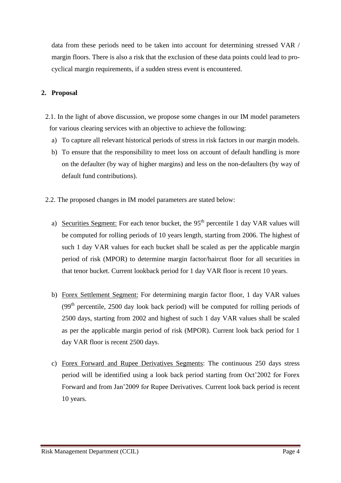data from these periods need to be taken into account for determining stressed VAR / margin floors. There is also a risk that the exclusion of these data points could lead to procyclical margin requirements, if a sudden stress event is encountered.

#### **2. Proposal**

- 2.1. In the light of above discussion, we propose some changes in our IM model parameters for various clearing services with an objective to achieve the following:
	- a) To capture all relevant historical periods of stress in risk factors in our margin models.
	- b) To ensure that the responsibility to meet loss on account of default handling is more on the defaulter (by way of higher margins) and less on the non-defaulters (by way of default fund contributions).
- 2.2. The proposed changes in IM model parameters are stated below:
	- a) Securities Segment: For each tenor bucket, the  $95<sup>th</sup>$  percentile 1 day VAR values will be computed for rolling periods of 10 years length, starting from 2006. The highest of such 1 day VAR values for each bucket shall be scaled as per the applicable margin period of risk (MPOR) to determine margin factor/haircut floor for all securities in that tenor bucket. Current lookback period for 1 day VAR floor is recent 10 years.
	- b) Forex Settlement Segment: For determining margin factor floor, 1 day VAR values  $(99<sup>th</sup> percentile, 2500 day look back period) will be computed for rolling periods of$ 2500 days, starting from 2002 and highest of such 1 day VAR values shall be scaled as per the applicable margin period of risk (MPOR). Current look back period for 1 day VAR floor is recent 2500 days.
	- c) Forex Forward and Rupee Derivatives Segments: The continuous 250 days stress period will be identified using a look back period starting from Oct'2002 for Forex Forward and from Jan'2009 for Rupee Derivatives. Current look back period is recent 10 years.